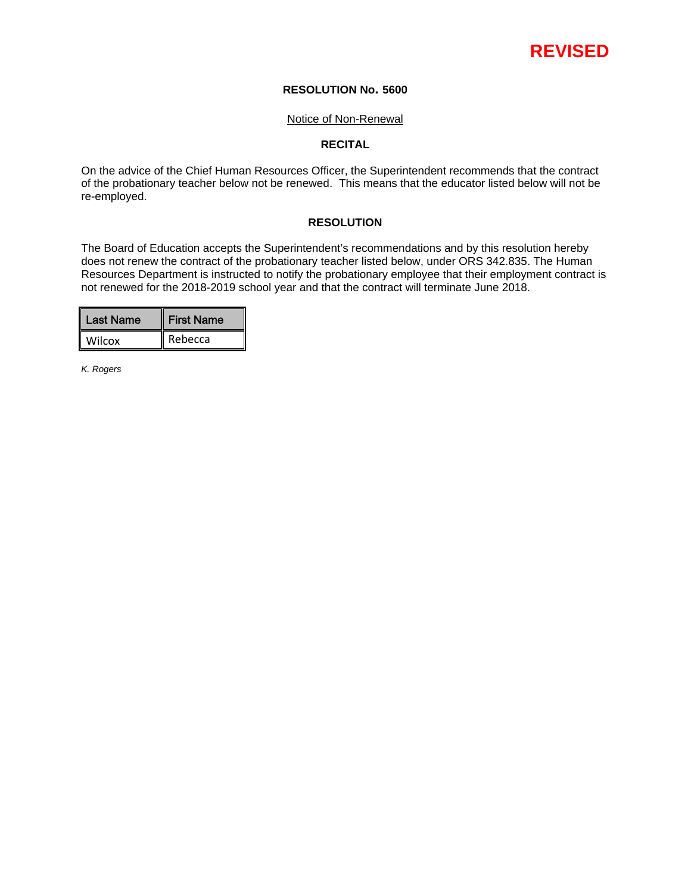# **REVISED**

# **RESOLUTION No. 5600**

#### Notice of Non-Renewal

# **RECITAL**

On the advice of the Chief Human Resources Officer, the Superintendent recommends that the contract of the probationary teacher below not be renewed. This means that the educator listed below will not be re-employed.

# **RESOLUTION**

The Board of Education accepts the Superintendent's recommendations and by this resolution hereby does not renew the contract of the probationary teacher listed below, under ORS 342.835. The Human Resources Department is instructed to notify the probationary employee that their employment contract is not renewed for the 2018-2019 school year and that the contract will terminate June 2018.

| Last Name | <b>First Name</b> |
|-----------|-------------------|
| Wilcox    | Rebecca           |

*K. Rogers*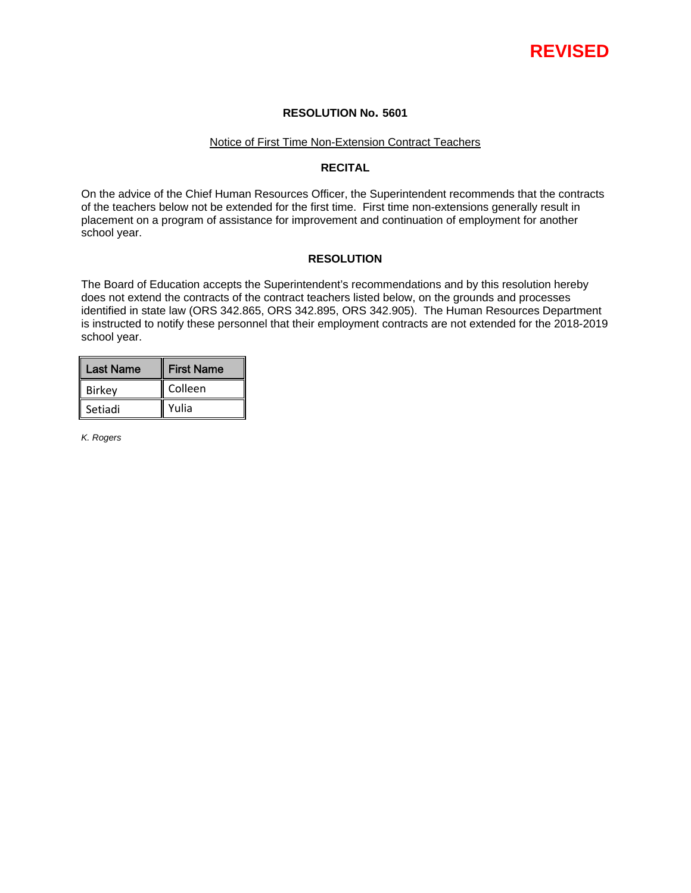

# **RESOLUTION No. 5601**

#### Notice of First Time Non-Extension Contract Teachers

# **RECITAL**

On the advice of the Chief Human Resources Officer, the Superintendent recommends that the contracts of the teachers below not be extended for the first time. First time non-extensions generally result in placement on a program of assistance for improvement and continuation of employment for another school year.

### **RESOLUTION**

The Board of Education accepts the Superintendent's recommendations and by this resolution hereby does not extend the contracts of the contract teachers listed below, on the grounds and processes identified in state law (ORS 342.865, ORS 342.895, ORS 342.905). The Human Resources Department is instructed to notify these personnel that their employment contracts are not extended for the 2018-2019 school year.

| <b>Last Name</b> | <b>First Name</b> |
|------------------|-------------------|
| <b>Birkey</b>    | Colleen           |
| Setiadi          | Yulia             |

*K. Rogers*